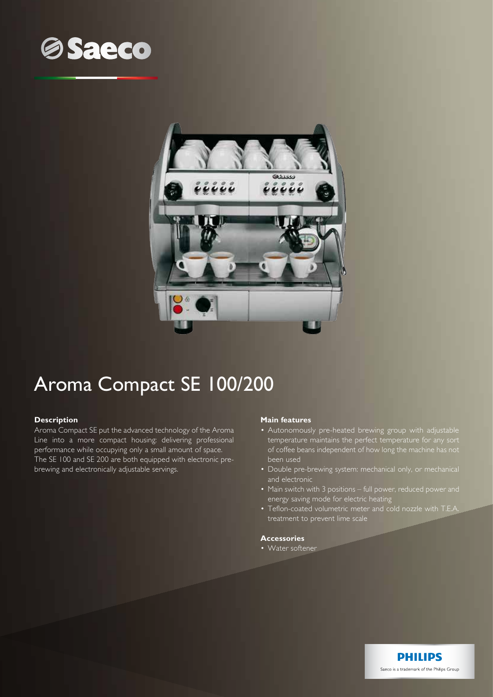



# Aroma Compact SE 100/200

### **Description**

Aroma Compact SE put the advanced technology of the Aroma Line into a more compact housing: delivering professional performance while occupying only a small amount of space. The SE 100 and SE 200 are both equipped with electronic prebrewing and electronically adjustable servings.

### **Main features**

- Autonomously pre-heated brewing group with adjustable temperature maintains the perfect temperature for any sort of coffee beans independent of how long the machine has not been used
- Double pre-brewing system: mechanical only, or mechanical and electronic
- Main switch with 3 positions full power, reduced power and energy saving mode for electric heating
- Teflon-coated volumetric meter and cold nozzle with T.E.A. treatment to prevent lime scale

**PHILIPS** Saeco is a trademark of the Philips Group

## **Accessories**

• Water softener